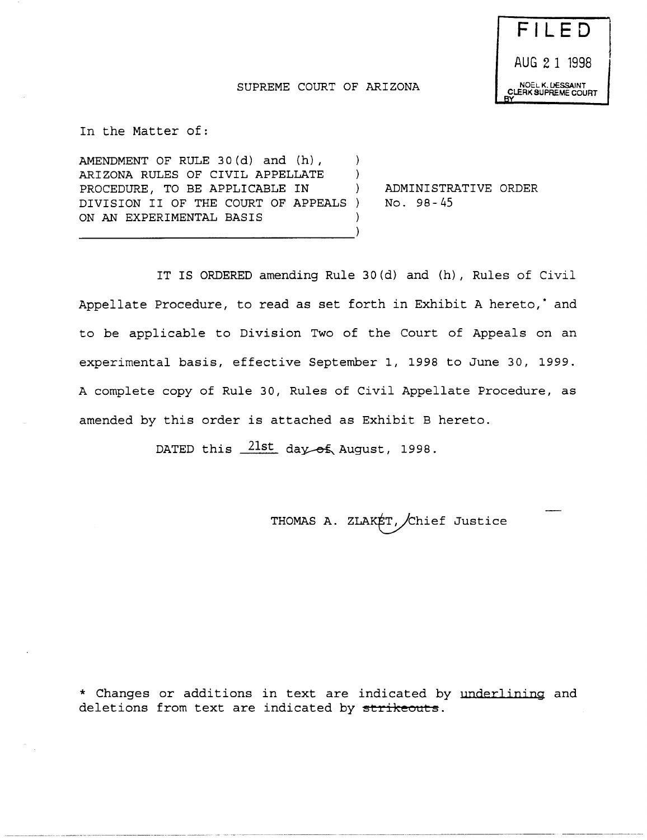# F I LED AUG 2 1 1998 NOEL K. OESSAINT CLERK SUPREME COURT

--------. -\_ ... \_------.----

#### SUPREME COURT OF ARIZONA

In the Matter of:

AMENDMENT OF RULE 30(d) and (h),  $\lambda$ ARIZONA RULES OF CIVIL APPELLATE  $\lambda$ PROCEDURE, TO BE APPLICABLE IN  $\mathcal{L}$ DIVISION II OF THE COURT OF APPEALS ON AN EXPERIMENTAL BASIS Δ,

ADMINISTRATIVE ORDER No. 98- 45

IT IS ORDERED amending Rule 30(d) and (h), Rules of Civil Appellate Procedure, to read as set forth in Exhibit A hereto,<sup>\*</sup> and to be applicable to Division Two of the Court of Appeals on an experimental basis, effective September 1, 1998 to June 30, 1999. A complete copy of Rule 30, Rules of Civil Appellate Procedure, as amended by this order is attached as Exhibit B hereto.

DATED this  $21st$  day of August, 1998.

THOMAS A. ZLAKET, Chief Justice

\* Changes or additions in text are indicated by underlining and deletions from text are indicated by strikeouts.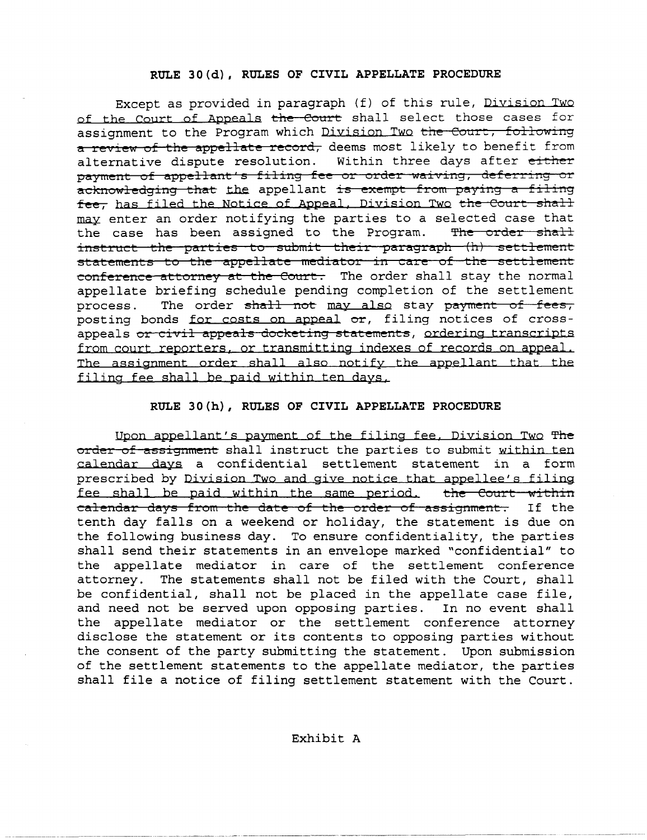#### RULE 30(d), RULES OF CIVIL APPELLATE PROCEDURE

Except as provided in paragraph (f) of this rule, Division Two of the Court of Appeals the Court shall select those cases for assignment to the Program which Division Two the Court, following a review of the appellate record, deems most likely to benefit from alternative dispute resolution. Within three days after either payment of appellant's filing fee or order waiving, deferring or acknowledging that the appellant is exempt from paying a filing fee, has filed the Notice of Appeal, Division Two the Court shall may enter an order notifying the parties to a selected case that the case has been assigned to the Program. The order shall instruct the parties to submit their paragraph (h) settlement statements to the appellate mediator in care of the settlement conference attorney at the Court. The order shall stay the normal appellate briefing schedule pending completion of the settlement process. The order shall not may also stay payment of fees, posting bonds for costs on appeal or, filing notices of crossappeals or civil appeals docketing statements, ordering transcripts from court reporters. or transmitting indexes of records on appeal. The assignment order shall also notify the appellant that the filing fee shall be paid within ten days.

#### RULE 30(h), RULES OF CIVIL APPELLATE PROCEDURE

Upon appellant's payment of the filing fee, Division Two The order of assignment shall instruct the parties to submit within ten calendar days a confidential settlement statement in a form prescribed by Division Two and give notice that appellee's filing fee shall be paid within the same period. the Court within calendar days from the date of the order of assignment. If the tenth day falls on a weekend or holiday, the statement is due on the following business day. To ensure confidentiality, the parties shall send their statements in an envelope marked "confidential" to the appellate mediator in care of the settlement conference attorney. The statements shall not be filed with the Court, shall be confidential, shall not be placed in the appellate case file, and need not be served upon opposing parties. In no event shall the appellate mediator or the settlement conference attorney disclose the statement or its contents to opposing parties without the consent of the party submitting the statement. Upon submission of the settlement statements to the appellate mediator, the parties shall file a notice of filing settlement statement with the Court.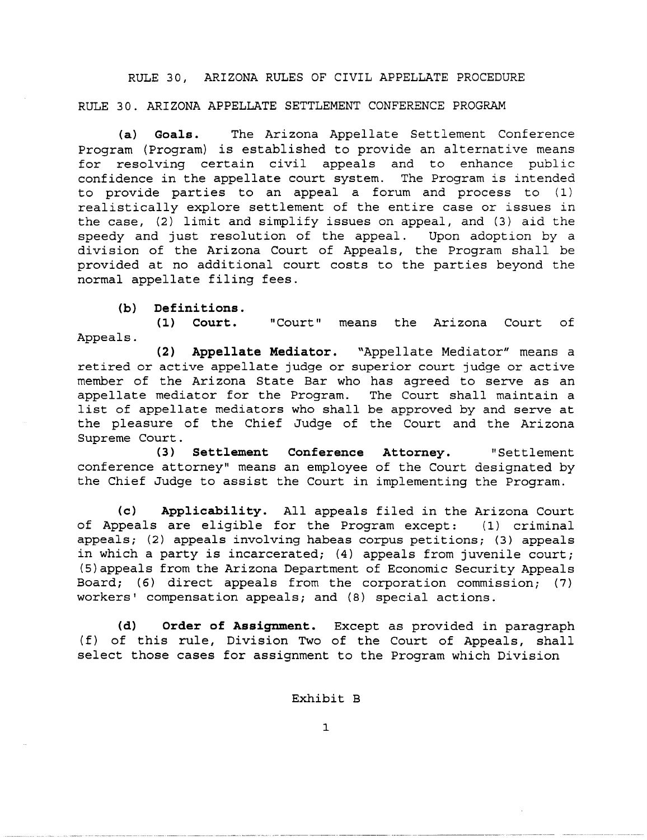RULE 30, ARIZONA RULES OF CIVIL APPELLATE PROCEDURE

RULE 30. ARIZONA APPELLATE SETTLEMENT CONFERENCE PROGRAM

**(a) Goals.** The Arizona Appellate Settlement Conference Program (Program) is established to provide an alternative means for resolving certain civil appeals and to enhance public confidence in the appellate court system. The Program is intended to provide parties to an appeal a forum and process to (1) realistically explore settlement of the entire case or issues in the case, (2) limit and simplify issues on appeal, and (3) aid the speedy and just resolution of the appeal. Upon adoption by a division of the Arizona Court of Appeals, the Program shall be provided at no additional court costs to the parties beyond the normal appellate filing fees.

**(b) Definitions.** 

**(1) Court.**  Appeals. "Court" means the Arizona Court of

**(2) Appellate Mediator.** "Appellate Mediator" means a retired or active appellate judge or superior court judge or active member of the Arizona State Bar who has agreed to serve as an appellate mediator for the Program. The Court shall maintain a list of appellate mediators who shall be approved by and serve at the pleasure of the Chief Judge of the Court and the Arizona Supreme Court.

**(3) Settlement Conference Attorney.** "Settlement conference attorney" means an employee of the Court designated by the Chief Judge to assist the Court in implementing the Program.

**(c) Applicability.** All appeals filed in the Arizona Court of Appeals are eligible for the Program except: (1) criminal appeals; (2) appeals involving habeas corpus petitions; (3) appeals in which a party is incarcerated; (4) appeals from juvenile court; (S)appeals from the Arizona Department of Economic Security Appeals Board; (6) direct appeals from the corporation commission; (7) workers' compensation appeals; and (8) special actions.

**(d) Order of Assignment.** Except as provided in paragraph (f) of this rule, Division Two of the Court of Appeals, shall select those cases for assignment to the Program which Division

Exhibit B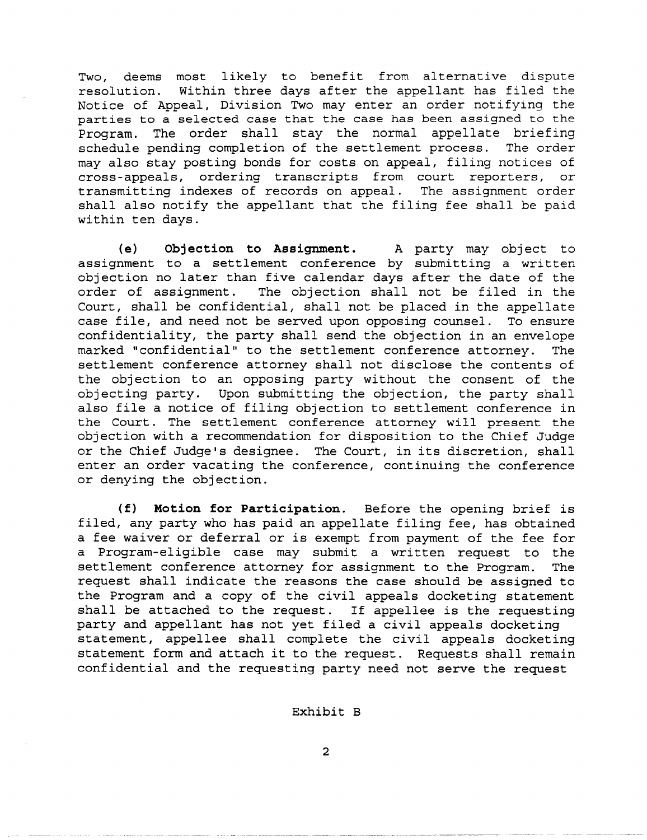Two, deems most likely to benefit from alternative dispute resolution. Within three days after the appellant has filed the Notice of Appeal, Division Two may enter an order notifying the parties to a selected case that the case has been assigned to the Program. The order shall stay the normal appellate briefing schedule pending completion of the settlement process. The order may also stay posting bonds for costs on appeal, filing notices of cross-appeals, ordering transcripts from court reporters, or transmitting indexes of records on appeal. The assignment order shall also notify the appellant that the filing fee shall be paid within ten days.

**(e) Objection to Assignment.** A party may object to assignment to a settlement conference by submitting a written objection no later than five calendar days after the date of the order of assignment. The objection shall not be filed in the Court, shall be confidential, shall not be placed in the appellate case file, and need not be served upon opposing counsel. To ensure confidentiality, the party shall send the objection in an envelope marked "confidential" to the settlement conference attorney. The settlement conference attorney shall not disclose the contents of the objection to an opposing party without the consent of the objecting party. Upon submitting the objection, the party shall also file a notice of filing objection to settlement conference in the Court. The settlement conference attorney will present the objection with a recommendation for disposition to the Chief Judge or the Chief Judge's designee. The Court, in its discretion, shall enter an order vacating the conference, continuing the conference or denying the objection.

**(f) Motion for Participation.** Before the opening brief is filed, any party who has paid an appellate filing fee, has obtained a fee waiver or deferral or is exempt from payment of the fee for a Program-eligible case may submit a written request to the settlement conference attorney for assignment to the Program. The request shall indicate the reasons the case should be assigned to the Program and a copy of the civil appeals docketing statement shall be attached to the request. If appellee is the requesting party and appellant has not yet filed a civil appeals docketing statement, appellee shall complete the civil appeals docketing statement form and attach it to the request. Requests shall remain confidential and the requesting party need not serve the request

#### Exhibit B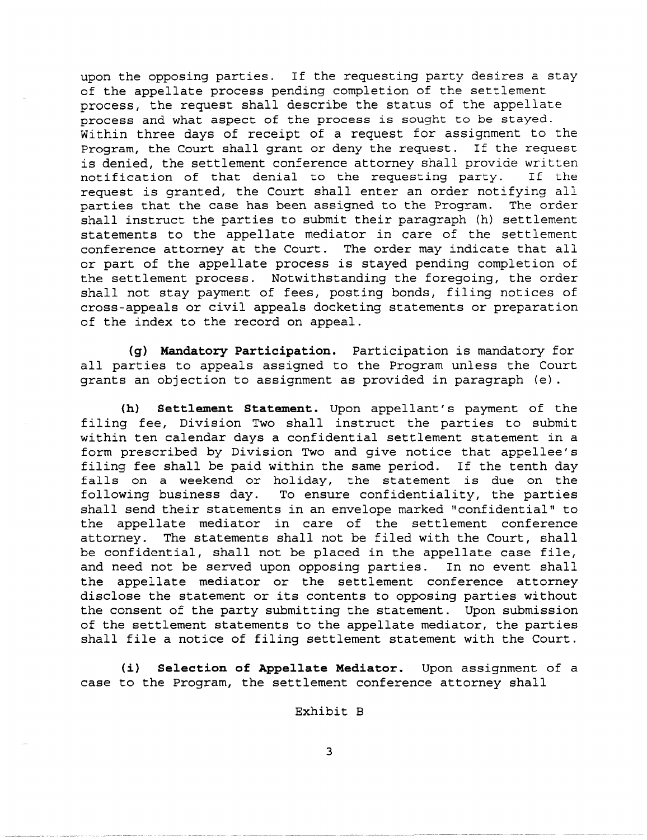upon the opposing parties. If the requesting party desires a stay of the appellate process pending completion of the settlement process, the request shall describe the status of the appellate process and what aspect of the process is sought to be stayed. Within three days of receipt of a request for assignment to the Program, the Court shall grant or deny the request. If the request is denied, the settlement conference attorney shall provide written<br>notification of that denial to the requesting party. If the notification of that denial to the requesting party. request is granted, the Court shall enter an order notifying all parties that the case has been assigned to the Program. The order shall instruct the parties to submit their paragraph (h) settlement statements to the appellate mediator in care of the settlement conference attorney at the Court. The order may indicate that all or part of the appellate process is stayed pending completion of the settlement process. Notwithstanding the foregoing, the order shall not stay payment of fees, posting bonds, filing notices of cross-appeals or civil appeals docketing statements or preparation of the index to the record on appeal.

**(g) Mandatory Participation.** Participation is mandatory for all parties to appeals assigned to the Program unless the Court grants an objection to assignment as provided in paragraph (e).

**(h) Settlement Statement.** Upon appellant's payment of the filing fee, Division Two shall instruct the parties to submit within ten calendar days a confidential settlement statement in a form prescribed by Division Two and give notice that appellee's filing fee shall be paid within the same period. If the tenth day falls on a weekend or holiday, the statement is due on the following business day. To ensure confidentiality, the parties shall send their statements in an envelope marked "confidential" to the appellate mediator in care of the settlement conference attorney. The statements shall not be filed with the Court, shall be confidential, shall not be placed in the appellate case file, and need not be served upon opposing parties. In no event shall the appellate mediator or the settlement conference attorney disclose the statement or its contents to opposing parties without the consent of the party submitting the statement. Upon submission of the settlement statements to the appellate mediator, the parties shall file a notice of filing settlement statement with the Court.

**(i) Selection of Appellate Mediator.** Upon assignment of a case to the Program, the settlement conference attorney shall

Exhibit B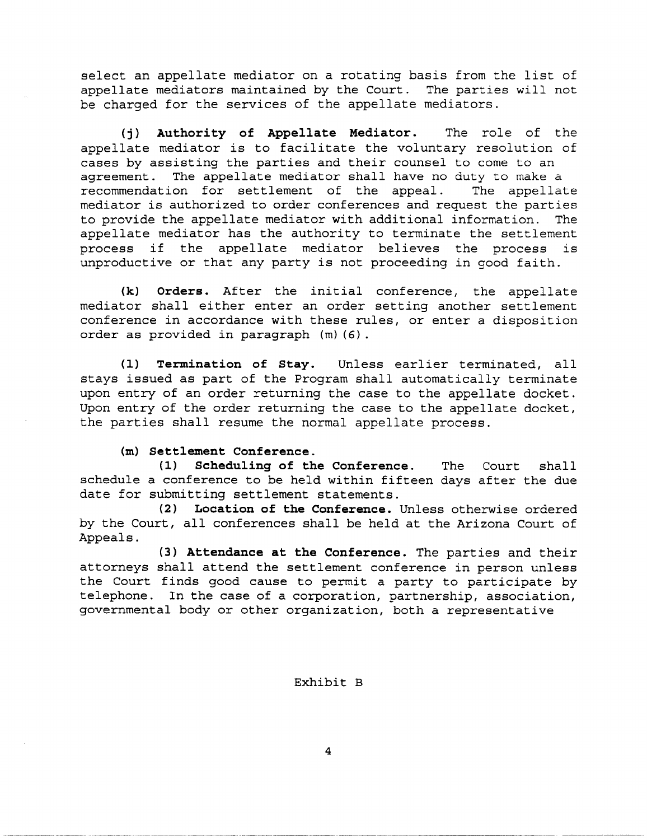select an appellate mediator on a rotating basis from the list of appellate mediators maintained by the Court. The parties will not be charged for the services of the appellate mediators.

**(j) Authority of Appellate Mediator.** The role of the appellate mediator is to facilitate the voluntary resolution of cases by assisting the parties and their counsel to come to an agreement. The appellate mediator shall have no duty to make a recommendation for settlement of the appeal. The appellate mediator is authorized to order conferences and request the parties to provide the appellate mediator with additional information. The appellate mediator has the authority to terminate the settlement process if the appellate mediator believes the process is unproductive or that any party is not proceeding in good faith.

**(k) Orders.** After the initial conference, the appellate mediator shall either enter an order setting another settlement conference in accordance with these rules, or enter a disposition order as provided in paragraph (m) (6) .

**(1) Termination of Stay.** Unless earlier terminated, all stays issued as part of the Program shall automatically terminate upon entry of an order returning the case to the appellate docket. Upon entry of the order returning the case to the appellate docket, the parties shall resume the normal appellate process.

#### **(m) Settlement Conference.**

**(1) Scheduling of the Conference.** The Court shall schedule a conference to be held within fifteen days after the due date for submitting settlement statements.

**(2) Location of the Conference.** Unless otherwise ordered by the Court, all conferences shall be held at the Arizona Court of Appeals.

**(3) Attendance at the Conference.** The parties and their attorneys shall attend the settlement conference in person unless the Court finds good cause to permit a party to participate by telephone. In the case of a corporation, partnership, association, governmental body or other organization, both a representative

Exhibit B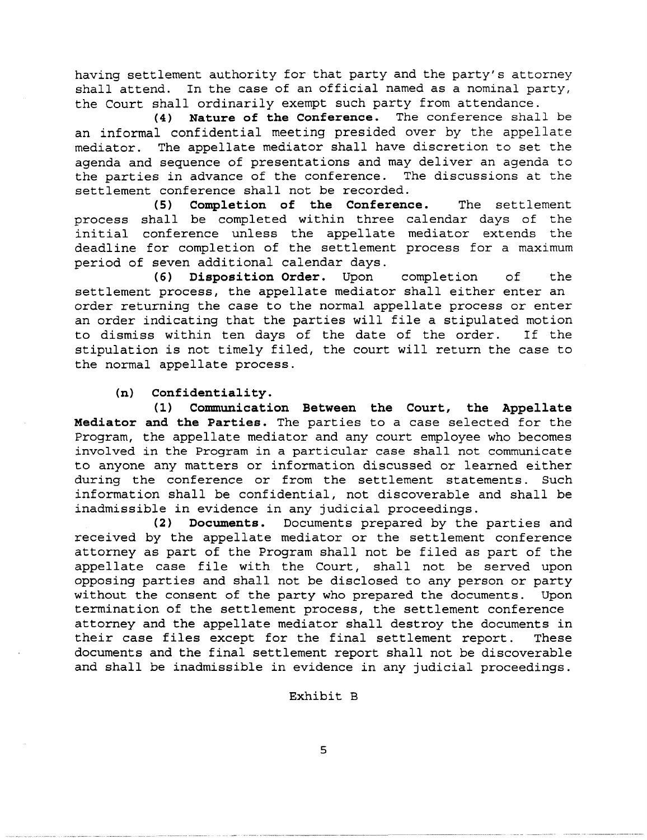having settlement authority for that party and the party's attorney shall attend. In the case of an official named as a nominal party, the Court shall ordinarily exempt such party from attendance.

**(4) Nature of the Conference.** The conference shall be an informal confidential meeting presided over by the appellate mediator. The appellate mediator shall have discretion to set the agenda and sequence of presentations and may deliver an agenda to the parties in advance of the conference. The discussions at the settlement conference shall not be recorded.

**(5) Completion of the Conference.** The settlement process shall be completed within three calendar days of the initial conference unless the appellate mediator extends the deadline for completion of the settlement process for a maximum period of seven additional calendar days.

**(6) Disposition Order.** Upon completion of the settlement process, the appellate mediator shall either enter an order returning the case to the normal appellate process or enter an order indicating that the parties will file a stipulated motion to dismiss within ten days of the date of the order. If the stipulation is not timely filed, the court will return the case to the normal appellate process.

## **(n) Confidentiality.**

**(1) Communication Between the Court, the Appellate Mediator and the Parties.** The parties to a case selected for the Program, the appellate mediator and any court employee who becomes involved in the Program in a particular case shall not communicate to anyone any matters or information discussed or learned either during the conference or from the settlement statements. Such information shall be confidential, not discoverable and shall be inadmissible in evidence in any judicial proceedings.

**(2) Documents.** Documents prepared by the parties and received by the appellate mediator or the settlement conference attorney as part of the Program shall not be filed as part of the appellate case file with the Court, shall not be served upon opposing parties and shall not be disclosed to any person or party without the consent of the party who prepared the documents. Upon termination of the settlement process, the settlement conference attorney and the appellate mediator shall destroy the documents in their case files except for the final settlement report. These documents and the final settlement report shall not be discoverable and shall be inadmissible in evidence in any judicial proceedings.

### Exhibit B

--- -~------- ---- -----\_.